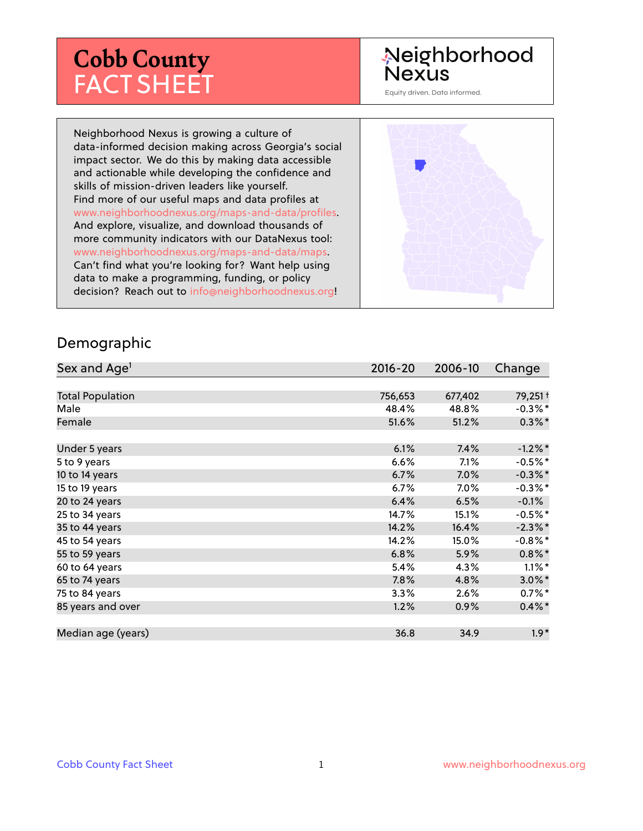# **Cobb County** FACT SHEET

# Neighborhood **Nexus**

Equity driven. Data informed.

Neighborhood Nexus is growing a culture of data-informed decision making across Georgia's social impact sector. We do this by making data accessible and actionable while developing the confidence and skills of mission-driven leaders like yourself. Find more of our useful maps and data profiles at www.neighborhoodnexus.org/maps-and-data/profiles. And explore, visualize, and download thousands of more community indicators with our DataNexus tool: www.neighborhoodnexus.org/maps-and-data/maps. Can't find what you're looking for? Want help using data to make a programming, funding, or policy decision? Reach out to [info@neighborhoodnexus.org!](mailto:info@neighborhoodnexus.org)



#### Demographic

| Sex and Age <sup>1</sup> | $2016 - 20$ | 2006-10 | Change     |
|--------------------------|-------------|---------|------------|
|                          |             |         |            |
| <b>Total Population</b>  | 756,653     | 677,402 | 79,251+    |
| Male                     | 48.4%       | 48.8%   | $-0.3\%$ * |
| Female                   | 51.6%       | 51.2%   | $0.3\%$ *  |
|                          |             |         |            |
| Under 5 years            | 6.1%        | 7.4%    | $-1.2\%$ * |
| 5 to 9 years             | 6.6%        | 7.1%    | $-0.5%$ *  |
| 10 to 14 years           | 6.7%        | 7.0%    | $-0.3\%$ * |
| 15 to 19 years           | 6.7%        | 7.0%    | $-0.3\%$ * |
| 20 to 24 years           | 6.4%        | 6.5%    | $-0.1%$    |
| 25 to 34 years           | 14.7%       | 15.1%   | $-0.5%$ *  |
| 35 to 44 years           | 14.2%       | 16.4%   | $-2.3\%$ * |
| 45 to 54 years           | 14.2%       | 15.0%   | $-0.8\%$ * |
| 55 to 59 years           | 6.8%        | 5.9%    | $0.8\%$ *  |
| 60 to 64 years           | 5.4%        | 4.3%    | $1.1\%$ *  |
| 65 to 74 years           | 7.8%        | 4.8%    | $3.0\%$ *  |
| 75 to 84 years           | 3.3%        | 2.6%    | $0.7%$ *   |
| 85 years and over        | 1.2%        | 0.9%    | $0.4\%$ *  |
|                          |             |         |            |
| Median age (years)       | 36.8        | 34.9    | $1.9*$     |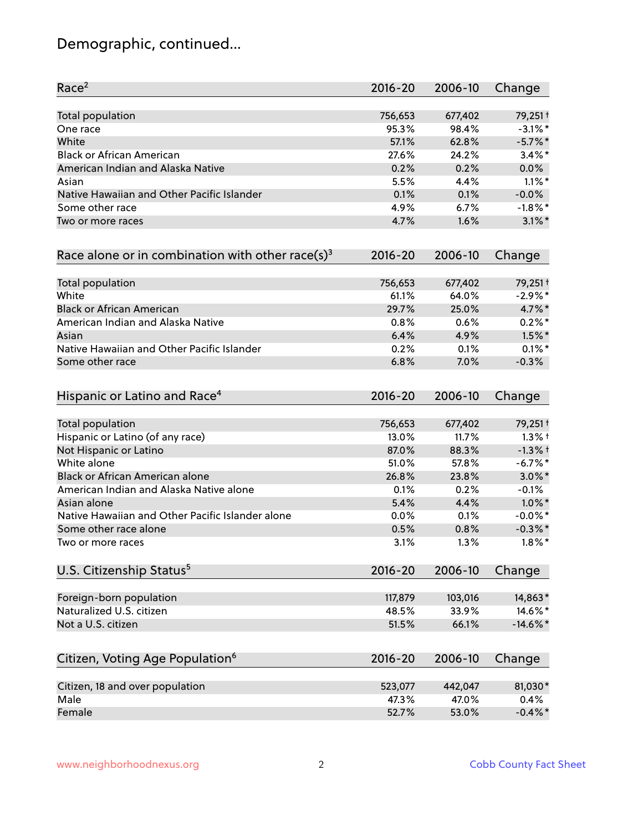# Demographic, continued...

| Race <sup>2</sup>                                            | $2016 - 20$ | 2006-10 | Change      |
|--------------------------------------------------------------|-------------|---------|-------------|
| <b>Total population</b>                                      | 756,653     | 677,402 | 79,251+     |
| One race                                                     | 95.3%       | 98.4%   | $-3.1\%$ *  |
| White                                                        | 57.1%       | 62.8%   | $-5.7\%$ *  |
| <b>Black or African American</b>                             | 27.6%       | 24.2%   | $3.4\%$ *   |
| American Indian and Alaska Native                            | 0.2%        | 0.2%    | 0.0%        |
| Asian                                                        | 5.5%        | 4.4%    | $1.1\%$ *   |
| Native Hawaiian and Other Pacific Islander                   | 0.1%        | 0.1%    | $-0.0%$     |
| Some other race                                              | 4.9%        | 6.7%    | $-1.8\%$ *  |
| Two or more races                                            | 4.7%        | 1.6%    | $3.1\%$ *   |
| Race alone or in combination with other race(s) <sup>3</sup> | $2016 - 20$ | 2006-10 | Change      |
| Total population                                             | 756,653     | 677,402 | 79,251+     |
| White                                                        | 61.1%       | 64.0%   | $-2.9%$ *   |
| <b>Black or African American</b>                             | 29.7%       | 25.0%   | 4.7%*       |
| American Indian and Alaska Native                            | 0.8%        | 0.6%    | $0.2%$ *    |
| Asian                                                        | 6.4%        | 4.9%    | $1.5\%$ *   |
| Native Hawaiian and Other Pacific Islander                   | 0.2%        | 0.1%    | $0.1\%$ *   |
| Some other race                                              | 6.8%        | 7.0%    | $-0.3%$     |
| Hispanic or Latino and Race <sup>4</sup>                     | $2016 - 20$ | 2006-10 | Change      |
| Total population                                             | 756,653     | 677,402 | 79,251+     |
| Hispanic or Latino (of any race)                             | 13.0%       | 11.7%   | $1.3%$ †    |
| Not Hispanic or Latino                                       | 87.0%       | 88.3%   | $-1.3%$ +   |
| White alone                                                  | 51.0%       | 57.8%   | $-6.7%$ *   |
| Black or African American alone                              | 26.8%       | 23.8%   | $3.0\%$ *   |
| American Indian and Alaska Native alone                      | 0.1%        | 0.2%    | $-0.1%$     |
| Asian alone                                                  | 5.4%        | 4.4%    | $1.0\%$ *   |
| Native Hawaiian and Other Pacific Islander alone             | 0.0%        | 0.1%    | $-0.0\%$ *  |
| Some other race alone                                        | 0.5%        | 0.8%    | $-0.3\%$ *  |
| Two or more races                                            | 3.1%        | 1.3%    | $1.8\%$ *   |
| U.S. Citizenship Status <sup>5</sup>                         | $2016 - 20$ | 2006-10 | Change      |
| Foreign-born population                                      | 117,879     | 103,016 | 14,863*     |
| Naturalized U.S. citizen                                     | 48.5%       | 33.9%   | 14.6%*      |
| Not a U.S. citizen                                           | 51.5%       | 66.1%   | $-14.6\%$ * |
| Citizen, Voting Age Population <sup>6</sup>                  | $2016 - 20$ | 2006-10 | Change      |
|                                                              |             |         |             |
| Citizen, 18 and over population                              | 523,077     | 442,047 | 81,030*     |
| Male                                                         | 47.3%       | 47.0%   | 0.4%        |
| Female                                                       | 52.7%       | 53.0%   | $-0.4\%$ *  |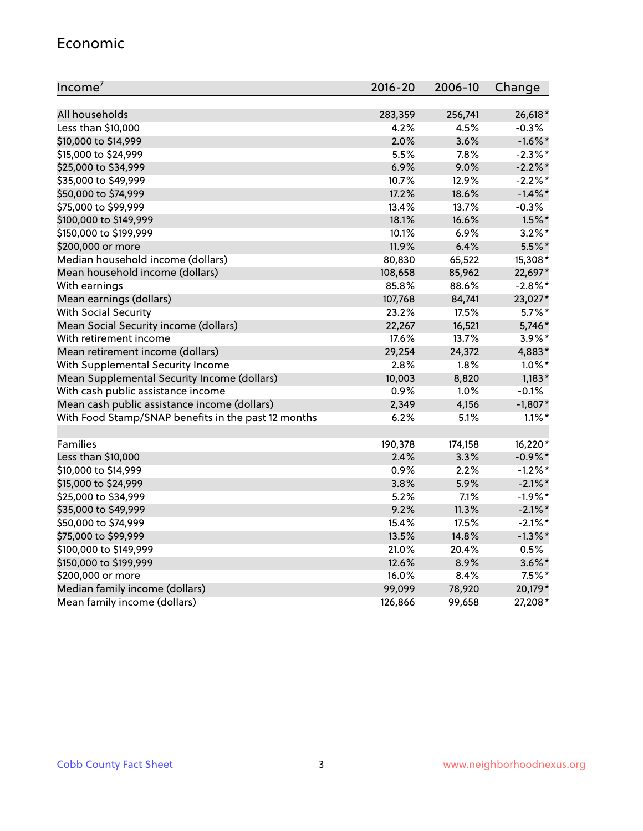#### Economic

| Income <sup>7</sup>                                 | $2016 - 20$ | 2006-10 | Change     |
|-----------------------------------------------------|-------------|---------|------------|
|                                                     |             |         |            |
| All households                                      | 283,359     | 256,741 | 26,618*    |
| Less than \$10,000                                  | 4.2%        | 4.5%    | $-0.3%$    |
| \$10,000 to \$14,999                                | 2.0%        | 3.6%    | $-1.6\%$ * |
| \$15,000 to \$24,999                                | 5.5%        | 7.8%    | $-2.3\%$ * |
| \$25,000 to \$34,999                                | 6.9%        | 9.0%    | $-2.2\%$ * |
| \$35,000 to \$49,999                                | 10.7%       | 12.9%   | $-2.2%$ *  |
| \$50,000 to \$74,999                                | 17.2%       | 18.6%   | $-1.4\%$ * |
| \$75,000 to \$99,999                                | 13.4%       | 13.7%   | $-0.3%$    |
| \$100,000 to \$149,999                              | 18.1%       | 16.6%   | $1.5\%$ *  |
| \$150,000 to \$199,999                              | 10.1%       | 6.9%    | $3.2\%$ *  |
| \$200,000 or more                                   | 11.9%       | 6.4%    | 5.5%*      |
| Median household income (dollars)                   | 80,830      | 65,522  | 15,308*    |
| Mean household income (dollars)                     | 108,658     | 85,962  | 22,697*    |
| With earnings                                       | 85.8%       | 88.6%   | $-2.8\%$ * |
| Mean earnings (dollars)                             | 107,768     | 84,741  | 23,027*    |
| <b>With Social Security</b>                         | 23.2%       | 17.5%   | $5.7\%$ *  |
| Mean Social Security income (dollars)               | 22,267      | 16,521  | 5,746*     |
| With retirement income                              | 17.6%       | 13.7%   | 3.9%*      |
| Mean retirement income (dollars)                    | 29,254      | 24,372  | 4,883*     |
| With Supplemental Security Income                   | 2.8%        | 1.8%    | $1.0\%$ *  |
| Mean Supplemental Security Income (dollars)         | 10,003      | 8,820   | $1,183*$   |
| With cash public assistance income                  | 0.9%        | 1.0%    | $-0.1%$    |
| Mean cash public assistance income (dollars)        | 2,349       | 4,156   | $-1,807*$  |
| With Food Stamp/SNAP benefits in the past 12 months | 6.2%        | 5.1%    | $1.1\%$ *  |
|                                                     |             |         |            |
| Families                                            | 190,378     | 174,158 | 16,220*    |
| Less than \$10,000                                  | 2.4%        | 3.3%    | $-0.9\%$ * |
| \$10,000 to \$14,999                                | 0.9%        | 2.2%    | $-1.2%$ *  |
| \$15,000 to \$24,999                                | 3.8%        | 5.9%    | $-2.1\%$ * |
| \$25,000 to \$34,999                                | 5.2%        | 7.1%    | $-1.9%$ *  |
| \$35,000 to \$49,999                                | 9.2%        | 11.3%   | $-2.1\%$ * |
| \$50,000 to \$74,999                                | 15.4%       | 17.5%   | $-2.1\%$ * |
| \$75,000 to \$99,999                                | 13.5%       | 14.8%   | $-1.3\%$ * |
| \$100,000 to \$149,999                              | 21.0%       | 20.4%   | 0.5%       |
| \$150,000 to \$199,999                              | 12.6%       | 8.9%    | $3.6\%$ *  |
| \$200,000 or more                                   | 16.0%       | 8.4%    | $7.5\%$ *  |
| Median family income (dollars)                      | 99,099      | 78,920  | 20,179*    |
| Mean family income (dollars)                        | 126,866     | 99,658  | 27,208*    |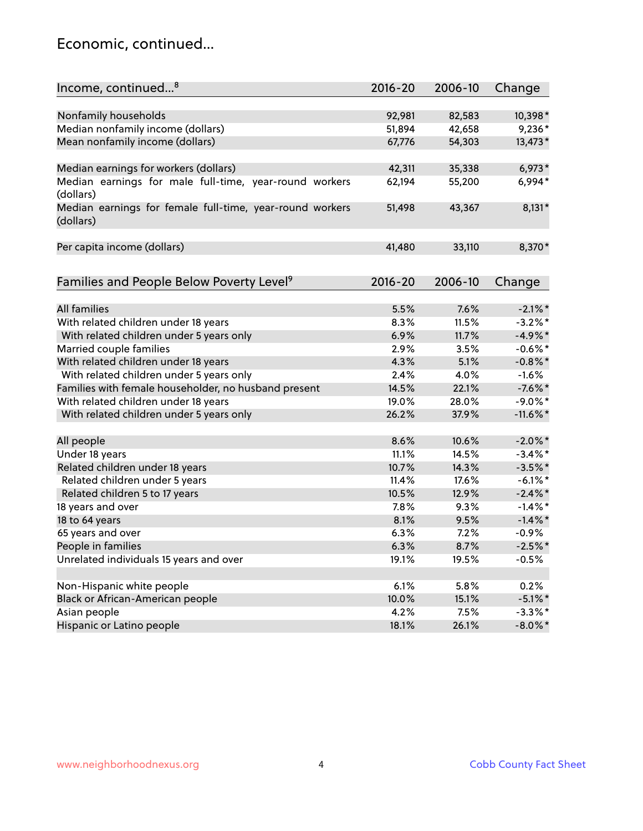#### Economic, continued...

| Income, continued <sup>8</sup>                                        | $2016 - 20$ | 2006-10 | Change      |
|-----------------------------------------------------------------------|-------------|---------|-------------|
|                                                                       |             |         |             |
| Nonfamily households                                                  | 92,981      | 82,583  | 10,398*     |
| Median nonfamily income (dollars)                                     | 51,894      | 42,658  | $9,236*$    |
| Mean nonfamily income (dollars)                                       | 67,776      | 54,303  | 13,473*     |
| Median earnings for workers (dollars)                                 | 42,311      | 35,338  | $6,973*$    |
| Median earnings for male full-time, year-round workers<br>(dollars)   | 62,194      | 55,200  | 6,994*      |
| Median earnings for female full-time, year-round workers<br>(dollars) | 51,498      | 43,367  | $8,131*$    |
| Per capita income (dollars)                                           | 41,480      | 33,110  | 8,370*      |
| Families and People Below Poverty Level <sup>9</sup>                  | $2016 - 20$ | 2006-10 | Change      |
|                                                                       |             |         |             |
| <b>All families</b>                                                   | 5.5%        | 7.6%    | $-2.1\%$ *  |
| With related children under 18 years                                  | 8.3%        | 11.5%   | $-3.2\%$ *  |
| With related children under 5 years only                              | 6.9%        | 11.7%   | $-4.9%$ *   |
| Married couple families                                               | 2.9%        | 3.5%    | $-0.6\%$ *  |
| With related children under 18 years                                  | 4.3%        | 5.1%    | $-0.8\%$ *  |
| With related children under 5 years only                              | 2.4%        | 4.0%    | $-1.6%$     |
| Families with female householder, no husband present                  | 14.5%       | 22.1%   | $-7.6\%$ *  |
| With related children under 18 years                                  | 19.0%       | 28.0%   | $-9.0\%$ *  |
| With related children under 5 years only                              | 26.2%       | 37.9%   | $-11.6\%$ * |
| All people                                                            | 8.6%        | 10.6%   | $-2.0\%$ *  |
| Under 18 years                                                        | 11.1%       | 14.5%   | $-3.4\%$ *  |
| Related children under 18 years                                       | 10.7%       | 14.3%   | $-3.5%$ *   |
| Related children under 5 years                                        | 11.4%       | 17.6%   | $-6.1\%$ *  |
| Related children 5 to 17 years                                        | 10.5%       | 12.9%   | $-2.4\%$ *  |
| 18 years and over                                                     | 7.8%        | 9.3%    | $-1.4\%$ *  |
| 18 to 64 years                                                        | 8.1%        | 9.5%    | $-1.4\%$ *  |
| 65 years and over                                                     | 6.3%        | 7.2%    | $-0.9\%$    |
| People in families                                                    | 6.3%        | 8.7%    | $-2.5%$ *   |
| Unrelated individuals 15 years and over                               | 19.1%       | 19.5%   | $-0.5%$     |
|                                                                       |             |         |             |
| Non-Hispanic white people                                             | 6.1%        | 5.8%    | 0.2%        |
| Black or African-American people                                      | 10.0%       | 15.1%   | $-5.1\%$ *  |
| Asian people                                                          | 4.2%        | 7.5%    | $-3.3\%$ *  |
| Hispanic or Latino people                                             | 18.1%       | 26.1%   | $-8.0\%$ *  |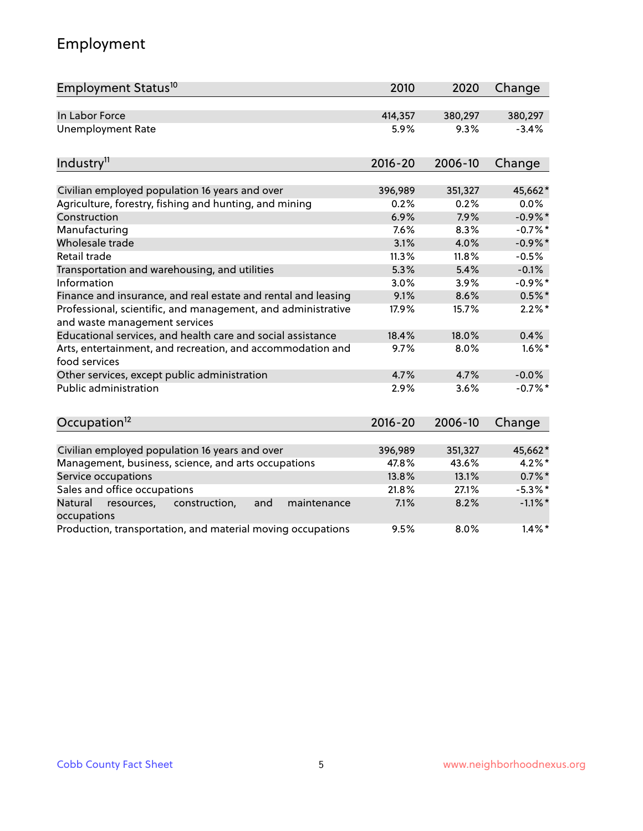# Employment

| Employment Status <sup>10</sup>                                                               | 2010        | 2020    | Change     |
|-----------------------------------------------------------------------------------------------|-------------|---------|------------|
| In Labor Force                                                                                | 414,357     | 380,297 | 380,297    |
| <b>Unemployment Rate</b>                                                                      | 5.9%        | 9.3%    | $-3.4%$    |
| Industry <sup>11</sup>                                                                        | $2016 - 20$ | 2006-10 | Change     |
| Civilian employed population 16 years and over                                                | 396,989     | 351,327 | 45,662*    |
| Agriculture, forestry, fishing and hunting, and mining                                        | 0.2%        | 0.2%    | $0.0\%$    |
| Construction                                                                                  | 6.9%        | 7.9%    | $-0.9\%$ * |
| Manufacturing                                                                                 | 7.6%        | 8.3%    | $-0.7%$ *  |
| Wholesale trade                                                                               | 3.1%        | 4.0%    | $-0.9\%$ * |
| Retail trade                                                                                  | 11.3%       | 11.8%   | $-0.5%$    |
| Transportation and warehousing, and utilities                                                 | 5.3%        | 5.4%    | $-0.1%$    |
| Information                                                                                   | 3.0%        | 3.9%    | $-0.9%$ *  |
| Finance and insurance, and real estate and rental and leasing                                 | 9.1%        | 8.6%    | $0.5%$ *   |
| Professional, scientific, and management, and administrative<br>and waste management services | 17.9%       | 15.7%   | $2.2\%$ *  |
| Educational services, and health care and social assistance                                   | 18.4%       | 18.0%   | 0.4%       |
| Arts, entertainment, and recreation, and accommodation and<br>food services                   | 9.7%        | 8.0%    | $1.6\%$ *  |
| Other services, except public administration                                                  | 4.7%        | 4.7%    | $-0.0%$    |
| <b>Public administration</b>                                                                  | 2.9%        | 3.6%    | $-0.7%$ *  |
| Occupation <sup>12</sup>                                                                      | $2016 - 20$ | 2006-10 | Change     |
| Civilian employed population 16 years and over                                                | 396,989     | 351,327 | 45,662*    |
| Management, business, science, and arts occupations                                           | 47.8%       | 43.6%   | $4.2\%$ *  |
| Service occupations                                                                           | 13.8%       | 13.1%   | $0.7\%$ *  |
| Sales and office occupations                                                                  | 21.8%       | 27.1%   | $-5.3\%$ * |
| Natural<br>resources,<br>construction,<br>and<br>maintenance<br>occupations                   | 7.1%        | 8.2%    | $-1.1\%$ * |
| Production, transportation, and material moving occupations                                   | 9.5%        | 8.0%    | $1.4\%$ *  |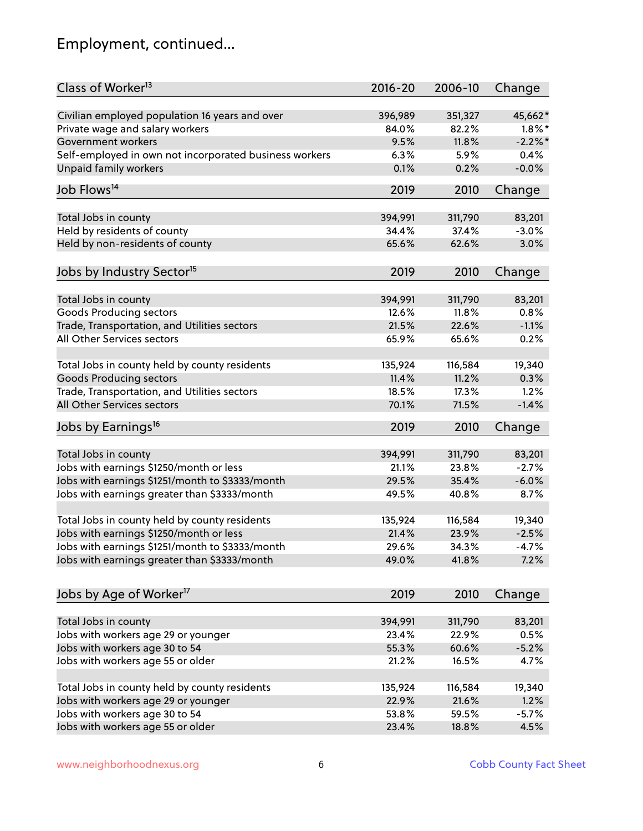# Employment, continued...

| Class of Worker <sup>13</sup>                          | $2016 - 20$ | 2006-10 | Change     |
|--------------------------------------------------------|-------------|---------|------------|
| Civilian employed population 16 years and over         | 396,989     | 351,327 | 45,662*    |
| Private wage and salary workers                        | 84.0%       | 82.2%   | $1.8\%$ *  |
| Government workers                                     | 9.5%        | 11.8%   | $-2.2\%$ * |
| Self-employed in own not incorporated business workers | 6.3%        | 5.9%    | 0.4%       |
| <b>Unpaid family workers</b>                           | 0.1%        | 0.2%    | $-0.0%$    |
| Job Flows <sup>14</sup>                                | 2019        | 2010    | Change     |
|                                                        |             |         |            |
| Total Jobs in county                                   | 394,991     | 311,790 | 83,201     |
| Held by residents of county                            | 34.4%       | 37.4%   | $-3.0%$    |
| Held by non-residents of county                        | 65.6%       | 62.6%   | 3.0%       |
| Jobs by Industry Sector <sup>15</sup>                  | 2019        | 2010    | Change     |
|                                                        |             |         |            |
| Total Jobs in county                                   | 394,991     | 311,790 | 83,201     |
| <b>Goods Producing sectors</b>                         | 12.6%       | 11.8%   | 0.8%       |
| Trade, Transportation, and Utilities sectors           | 21.5%       | 22.6%   | $-1.1%$    |
| All Other Services sectors                             | 65.9%       | 65.6%   | 0.2%       |
| Total Jobs in county held by county residents          | 135,924     | 116,584 | 19,340     |
| <b>Goods Producing sectors</b>                         | 11.4%       | 11.2%   | 0.3%       |
| Trade, Transportation, and Utilities sectors           | 18.5%       | 17.3%   | 1.2%       |
| All Other Services sectors                             | 70.1%       | 71.5%   | $-1.4%$    |
| Jobs by Earnings <sup>16</sup>                         | 2019        | 2010    | Change     |
| Total Jobs in county                                   | 394,991     | 311,790 | 83,201     |
| Jobs with earnings \$1250/month or less                | 21.1%       | 23.8%   | $-2.7%$    |
| Jobs with earnings \$1251/month to \$3333/month        | 29.5%       | 35.4%   | $-6.0%$    |
| Jobs with earnings greater than \$3333/month           | 49.5%       | 40.8%   | 8.7%       |
|                                                        |             |         |            |
| Total Jobs in county held by county residents          | 135,924     | 116,584 | 19,340     |
| Jobs with earnings \$1250/month or less                | 21.4%       | 23.9%   | $-2.5%$    |
| Jobs with earnings \$1251/month to \$3333/month        | 29.6%       | 34.3%   | $-4.7%$    |
| Jobs with earnings greater than \$3333/month           | 49.0%       | 41.8%   | 7.2%       |
| Jobs by Age of Worker <sup>17</sup>                    | 2019        | 2010    | Change     |
|                                                        |             |         |            |
| Total Jobs in county                                   | 394,991     | 311,790 | 83,201     |
| Jobs with workers age 29 or younger                    | 23.4%       | 22.9%   | 0.5%       |
| Jobs with workers age 30 to 54                         | 55.3%       | 60.6%   | $-5.2%$    |
| Jobs with workers age 55 or older                      | 21.2%       | 16.5%   | 4.7%       |
| Total Jobs in county held by county residents          | 135,924     | 116,584 | 19,340     |
| Jobs with workers age 29 or younger                    | 22.9%       | 21.6%   | 1.2%       |
| Jobs with workers age 30 to 54                         | 53.8%       | 59.5%   | $-5.7%$    |
| Jobs with workers age 55 or older                      | 23.4%       | 18.8%   | 4.5%       |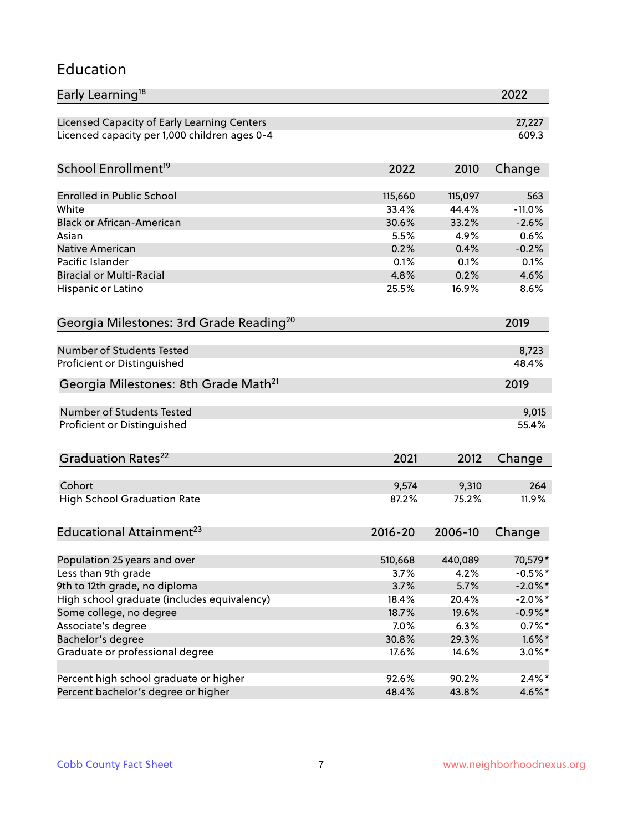#### Education

| Early Learning <sup>18</sup>                        |                 |                 | 2022                 |
|-----------------------------------------------------|-----------------|-----------------|----------------------|
| Licensed Capacity of Early Learning Centers         |                 |                 | 27,227               |
| Licenced capacity per 1,000 children ages 0-4       |                 |                 | 609.3                |
| School Enrollment <sup>19</sup>                     | 2022            | 2010            | Change               |
|                                                     |                 |                 |                      |
| Enrolled in Public School                           | 115,660         | 115,097         | 563                  |
| White                                               | 33.4%           | 44.4%           | $-11.0%$             |
| <b>Black or African-American</b>                    | 30.6%           | 33.2%           | $-2.6%$              |
| Asian                                               | 5.5%            | 4.9%            | 0.6%                 |
| Native American                                     | 0.2%            | 0.4%            | $-0.2%$              |
| Pacific Islander                                    | 0.1%            | 0.1%            | 0.1%                 |
| <b>Biracial or Multi-Racial</b>                     | 4.8%            | 0.2%            | 4.6%                 |
| Hispanic or Latino                                  | 25.5%           | 16.9%           | 8.6%                 |
| Georgia Milestones: 3rd Grade Reading <sup>20</sup> |                 |                 | 2019                 |
|                                                     |                 |                 |                      |
| Number of Students Tested                           |                 |                 | 8,723                |
| Proficient or Distinguished                         |                 |                 | 48.4%                |
| Georgia Milestones: 8th Grade Math <sup>21</sup>    |                 |                 | 2019                 |
| Number of Students Tested                           |                 |                 | 9,015                |
|                                                     |                 |                 | 55.4%                |
| Proficient or Distinguished                         |                 |                 |                      |
| Graduation Rates <sup>22</sup>                      | 2021            | 2012            | Change               |
|                                                     |                 |                 |                      |
| Cohort                                              | 9,574<br>87.2%  | 9,310           | 264                  |
| <b>High School Graduation Rate</b>                  |                 | 75.2%           | 11.9%                |
| Educational Attainment <sup>23</sup>                | $2016 - 20$     | 2006-10         | Change               |
|                                                     |                 |                 |                      |
| Population 25 years and over<br>Less than 9th grade | 510,668<br>3.7% | 440,089<br>4.2% | 70,579*<br>$-0.5%$ * |
| 9th to 12th grade, no diploma                       | 3.7%            | 5.7%            | $-2.0\%$ *           |
| High school graduate (includes equivalency)         | 18.4%           | 20.4%           | $-2.0\%$ *           |
| Some college, no degree                             | 18.7%           | 19.6%           | $-0.9\%$ *           |
| Associate's degree                                  | 7.0%            | 6.3%            | $0.7%$ *             |
| Bachelor's degree                                   | 30.8%           | 29.3%           | $1.6\%$ *            |
|                                                     |                 |                 |                      |
| Graduate or professional degree                     | 17.6%           | 14.6%           | $3.0\%$ *            |
| Percent high school graduate or higher              | 92.6%           | 90.2%           | $2.4\%$ *            |
| Percent bachelor's degree or higher                 | 48.4%           | 43.8%           | 4.6%*                |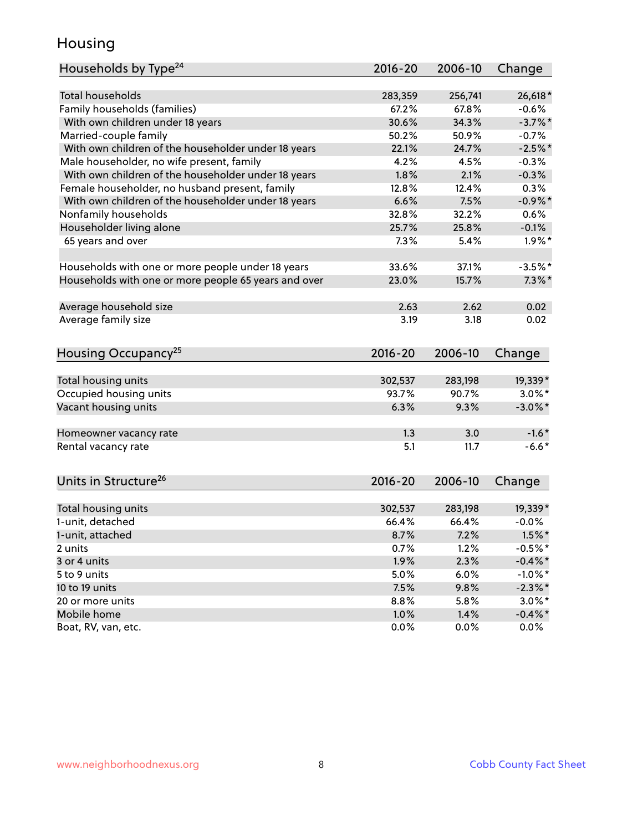#### Housing

| Households by Type <sup>24</sup>                     | 2016-20      | 2006-10      | Change                |
|------------------------------------------------------|--------------|--------------|-----------------------|
|                                                      |              |              |                       |
| <b>Total households</b>                              | 283,359      | 256,741      | 26,618*               |
| Family households (families)                         | 67.2%        | 67.8%        | $-0.6%$               |
| With own children under 18 years                     | 30.6%        | 34.3%        | $-3.7\%$ *            |
| Married-couple family                                | 50.2%        | 50.9%        | $-0.7%$               |
| With own children of the householder under 18 years  | 22.1%        | 24.7%        | $-2.5%$ *             |
| Male householder, no wife present, family            | 4.2%         | 4.5%         | $-0.3%$               |
| With own children of the householder under 18 years  | 1.8%         | 2.1%         | $-0.3%$               |
| Female householder, no husband present, family       | 12.8%        | 12.4%        | 0.3%                  |
| With own children of the householder under 18 years  | 6.6%         | 7.5%         | $-0.9\%$ *            |
| Nonfamily households                                 | 32.8%        | 32.2%        | 0.6%                  |
| Householder living alone                             | 25.7%        | 25.8%        | $-0.1%$               |
| 65 years and over                                    | 7.3%         | 5.4%         | $1.9\%$ *             |
|                                                      |              |              |                       |
| Households with one or more people under 18 years    | 33.6%        | 37.1%        | $-3.5%$ *             |
| Households with one or more people 65 years and over | 23.0%        | 15.7%        | $7.3\%$ *             |
|                                                      |              |              |                       |
| Average household size                               | 2.63         | 2.62         | 0.02                  |
| Average family size                                  | 3.19         | 3.18         | 0.02                  |
| Housing Occupancy <sup>25</sup>                      | 2016-20      | 2006-10      | Change                |
|                                                      |              |              |                       |
| Total housing units                                  | 302,537      | 283,198      | 19,339*               |
| Occupied housing units                               | 93.7%        | 90.7%        | $3.0\%$ *             |
| Vacant housing units                                 | 6.3%         | 9.3%         | $-3.0\%$ *            |
|                                                      |              |              |                       |
| Homeowner vacancy rate                               | 1.3          | 3.0          | $-1.6*$               |
| Rental vacancy rate                                  | 5.1          | 11.7         | $-6.6*$               |
|                                                      |              |              |                       |
| Units in Structure <sup>26</sup>                     | $2016 - 20$  | 2006-10      | Change                |
| Total housing units                                  | 302,537      | 283,198      | 19,339*               |
| 1-unit, detached                                     | 66.4%        | 66.4%        | $-0.0%$               |
| 1-unit, attached                                     | 8.7%         | 7.2%         | $1.5\%$ *             |
| 2 units                                              | 0.7%         | 1.2%         | $-0.5%$ *             |
| 3 or 4 units                                         | 1.9%         | 2.3%         | $-0.4\%$ *            |
| 5 to 9 units                                         | 5.0%         | 6.0%         | $-1.0\%$ *            |
| 10 to 19 units                                       | 7.5%         | 9.8%         |                       |
|                                                      |              |              | $-2.3\%$ *            |
| 20 or more units<br>Mobile home                      | 8.8%<br>1.0% | 5.8%<br>1.4% | $3.0\%$ *             |
| Boat, RV, van, etc.                                  | 0.0%         | 0.0%         | $-0.4\%$ *<br>$0.0\%$ |
|                                                      |              |              |                       |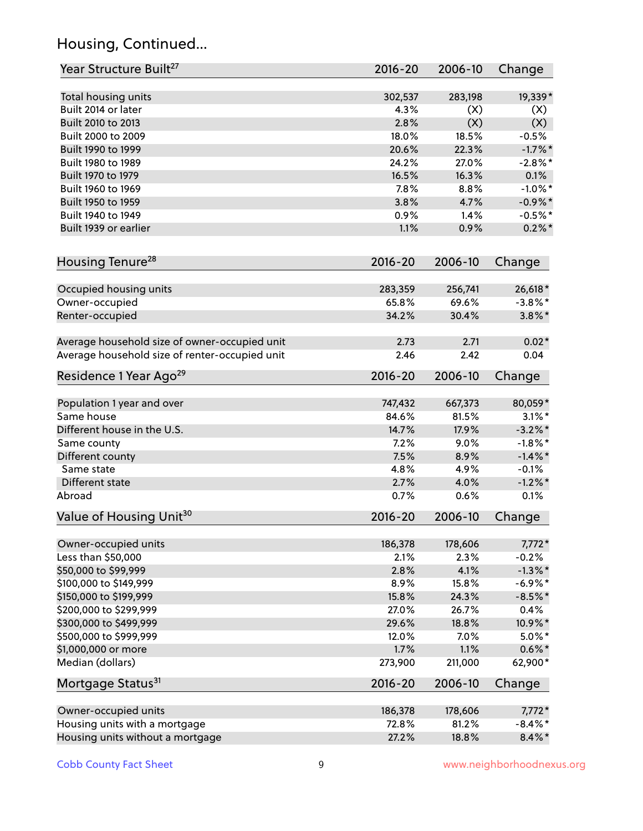# Housing, Continued...

| Year Structure Built <sup>27</sup>             | 2016-20     | 2006-10 | Change     |
|------------------------------------------------|-------------|---------|------------|
| Total housing units                            | 302,537     | 283,198 | 19,339*    |
| Built 2014 or later                            | 4.3%        | (X)     | (X)        |
| Built 2010 to 2013                             | 2.8%        | (X)     | (X)        |
| Built 2000 to 2009                             | 18.0%       | 18.5%   | $-0.5%$    |
| Built 1990 to 1999                             | 20.6%       | 22.3%   | $-1.7\%$ * |
| Built 1980 to 1989                             | 24.2%       | 27.0%   | $-2.8\%$ * |
| Built 1970 to 1979                             | 16.5%       | 16.3%   | 0.1%       |
| Built 1960 to 1969                             | 7.8%        | 8.8%    | $-1.0\%$ * |
| Built 1950 to 1959                             | 3.8%        | 4.7%    | $-0.9\%$ * |
| Built 1940 to 1949                             | 0.9%        | 1.4%    | $-0.5%$ *  |
| Built 1939 or earlier                          | 1.1%        | 0.9%    | $0.2\%$ *  |
| Housing Tenure <sup>28</sup>                   | 2016-20     | 2006-10 | Change     |
| Occupied housing units                         | 283,359     | 256,741 | 26,618*    |
| Owner-occupied                                 | 65.8%       | 69.6%   | $-3.8\%$ * |
| Renter-occupied                                | 34.2%       | 30.4%   | $3.8\%$ *  |
| Average household size of owner-occupied unit  | 2.73        | 2.71    | $0.02*$    |
| Average household size of renter-occupied unit | 2.46        | 2.42    | 0.04       |
| Residence 1 Year Ago <sup>29</sup>             | 2016-20     | 2006-10 | Change     |
| Population 1 year and over                     | 747,432     | 667,373 | 80,059*    |
| Same house                                     | 84.6%       | 81.5%   | $3.1\%$ *  |
| Different house in the U.S.                    | 14.7%       | 17.9%   | $-3.2\%$ * |
| Same county                                    | 7.2%        | 9.0%    | $-1.8\%$ * |
| Different county                               | 7.5%        | 8.9%    | $-1.4\%$ * |
| Same state                                     | 4.8%        | 4.9%    | $-0.1%$    |
| Different state                                | 2.7%        | 4.0%    | $-1.2\%$ * |
| Abroad                                         | 0.7%        | 0.6%    | 0.1%       |
| Value of Housing Unit <sup>30</sup>            | 2016-20     | 2006-10 | Change     |
| Owner-occupied units                           | 186,378     | 178,606 | $7,772*$   |
| Less than \$50,000                             | 2.1%        | 2.3%    | $-0.2%$    |
| \$50,000 to \$99,999                           | 2.8%        | 4.1%    | $-1.3\%$ * |
| \$100,000 to \$149,999                         | 8.9%        | 15.8%   | $-6.9\%$ * |
| \$150,000 to \$199,999                         | 15.8%       | 24.3%   | $-8.5%$ *  |
| \$200,000 to \$299,999                         | 27.0%       | 26.7%   | 0.4%       |
| \$300,000 to \$499,999                         | 29.6%       | 18.8%   | 10.9%*     |
| \$500,000 to \$999,999                         | 12.0%       | 7.0%    | $5.0\%$ *  |
| \$1,000,000 or more                            | 1.7%        | 1.1%    | $0.6\% *$  |
| Median (dollars)                               | 273,900     | 211,000 | 62,900*    |
| Mortgage Status <sup>31</sup>                  | $2016 - 20$ | 2006-10 | Change     |
| Owner-occupied units                           | 186,378     | 178,606 | $7,772*$   |
| Housing units with a mortgage                  | 72.8%       | 81.2%   | $-8.4\%$ * |
| Housing units without a mortgage               | 27.2%       | 18.8%   | $8.4\% *$  |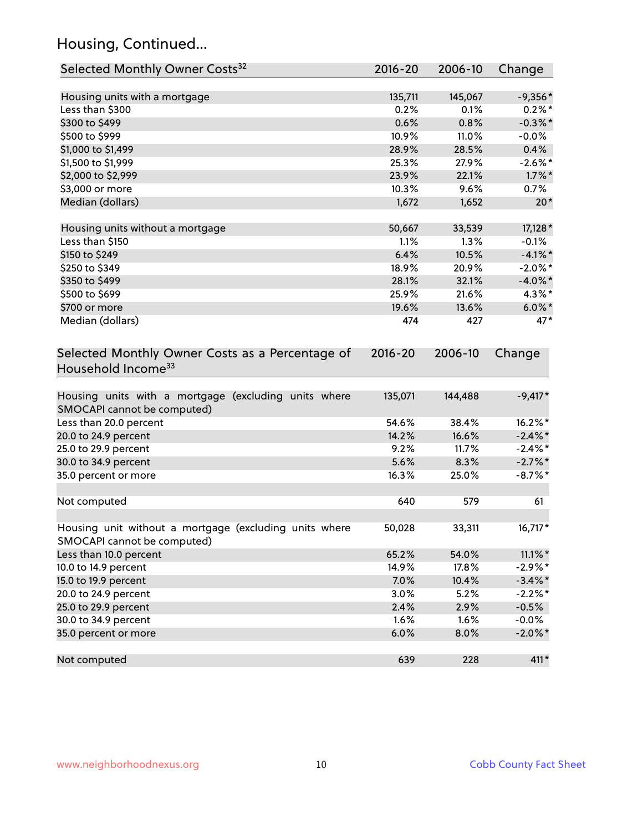# Housing, Continued...

| Selected Monthly Owner Costs <sup>32</sup>                                            | $2016 - 20$ | 2006-10 | Change     |
|---------------------------------------------------------------------------------------|-------------|---------|------------|
| Housing units with a mortgage                                                         | 135,711     | 145,067 | $-9,356*$  |
| Less than \$300                                                                       | 0.2%        | 0.1%    | $0.2\%$ *  |
| \$300 to \$499                                                                        | 0.6%        | 0.8%    | $-0.3\%$ * |
| \$500 to \$999                                                                        | 10.9%       | 11.0%   | $-0.0%$    |
| \$1,000 to \$1,499                                                                    | 28.9%       | 28.5%   | 0.4%       |
| \$1,500 to \$1,999                                                                    | 25.3%       | 27.9%   | $-2.6\%$ * |
| \$2,000 to \$2,999                                                                    | 23.9%       | 22.1%   | $1.7\%$ *  |
| \$3,000 or more                                                                       | 10.3%       | 9.6%    | 0.7%       |
| Median (dollars)                                                                      | 1,672       | 1,652   | $20*$      |
| Housing units without a mortgage                                                      | 50,667      | 33,539  | 17,128 *   |
| Less than \$150                                                                       | 1.1%        | 1.3%    | $-0.1%$    |
| \$150 to \$249                                                                        | 6.4%        | 10.5%   | $-4.1\%$ * |
| \$250 to \$349                                                                        | 18.9%       | 20.9%   | $-2.0\%$ * |
| \$350 to \$499                                                                        | 28.1%       | 32.1%   | $-4.0\%$ * |
| \$500 to \$699                                                                        | 25.9%       | 21.6%   | 4.3%*      |
| \$700 or more                                                                         | 19.6%       | 13.6%   | $6.0\%$ *  |
| Median (dollars)                                                                      | 474         | 427     | $47*$      |
| Selected Monthly Owner Costs as a Percentage of<br>Household Income <sup>33</sup>     | $2016 - 20$ | 2006-10 | Change     |
| Housing units with a mortgage (excluding units where<br>SMOCAPI cannot be computed)   | 135,071     | 144,488 | $-9,417*$  |
| Less than 20.0 percent                                                                | 54.6%       | 38.4%   | 16.2%*     |
| 20.0 to 24.9 percent                                                                  | 14.2%       | 16.6%   | $-2.4\%$ * |
| 25.0 to 29.9 percent                                                                  | 9.2%        | 11.7%   | $-2.4\%$ * |
| 30.0 to 34.9 percent                                                                  | 5.6%        | 8.3%    | $-2.7\%$ * |
| 35.0 percent or more                                                                  | 16.3%       | 25.0%   | $-8.7\%$ * |
| Not computed                                                                          | 640         | 579     | 61         |
| Housing unit without a mortgage (excluding units where<br>SMOCAPI cannot be computed) | 50,028      | 33,311  | 16,717*    |
| Less than 10.0 percent                                                                | 65.2%       | 54.0%   | $11.1\%$ * |
| 10.0 to 14.9 percent                                                                  | 14.9%       | 17.8%   | $-2.9%$ *  |
| 15.0 to 19.9 percent                                                                  | 7.0%        | 10.4%   | $-3.4\%$ * |
| 20.0 to 24.9 percent                                                                  | 3.0%        | 5.2%    | $-2.2\%$ * |
| 25.0 to 29.9 percent                                                                  | 2.4%        | 2.9%    | $-0.5%$    |
| 30.0 to 34.9 percent                                                                  | 1.6%        | 1.6%    | $-0.0%$    |
| 35.0 percent or more                                                                  | 6.0%        | 8.0%    | $-2.0\%$ * |
| Not computed                                                                          | 639         | 228     | 411*       |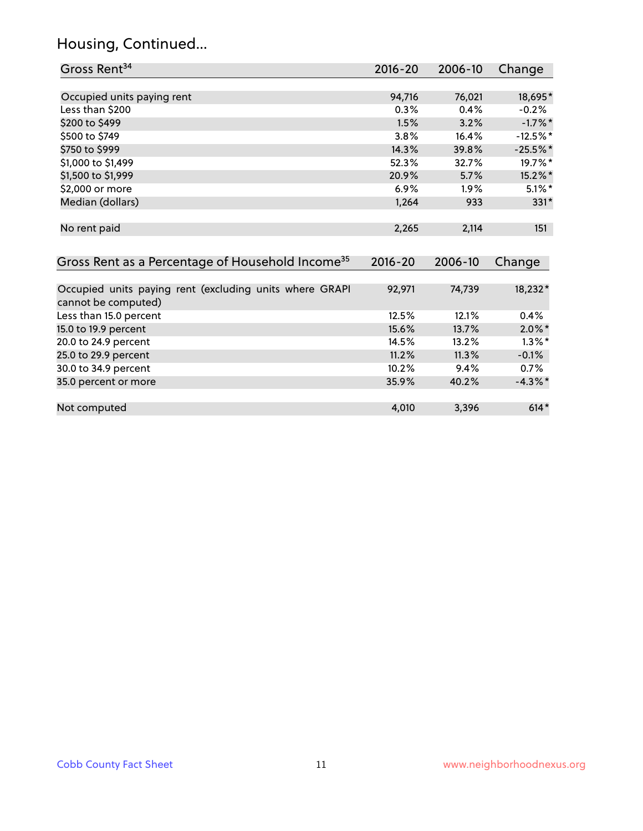# Housing, Continued...

| Gross Rent <sup>34</sup>                                                       | 2016-20     | 2006-10 | Change     |
|--------------------------------------------------------------------------------|-------------|---------|------------|
|                                                                                |             |         |            |
| Occupied units paying rent                                                     | 94,716      | 76,021  | 18,695*    |
| Less than \$200                                                                | 0.3%        | 0.4%    | $-0.2%$    |
| \$200 to \$499                                                                 | 1.5%        | 3.2%    | $-1.7\%$ * |
| \$500 to \$749                                                                 | 3.8%        | 16.4%   | $-12.5%$ * |
| \$750 to \$999                                                                 | 14.3%       | 39.8%   | $-25.5%$ * |
| \$1,000 to \$1,499                                                             | 52.3%       | 32.7%   | 19.7%*     |
| \$1,500 to \$1,999                                                             | 20.9%       | 5.7%    | 15.2%*     |
| \$2,000 or more                                                                | 6.9%        | $1.9\%$ | $5.1\%$ *  |
| Median (dollars)                                                               | 1,264       | 933     | 331*       |
| No rent paid                                                                   | 2,265       | 2,114   | 151        |
| Gross Rent as a Percentage of Household Income <sup>35</sup>                   | $2016 - 20$ | 2006-10 | Change     |
| Occupied units paying rent (excluding units where GRAPI<br>cannot be computed) | 92,971      | 74,739  | 18,232*    |
| Less than 15.0 percent                                                         | 12.5%       | 12.1%   | 0.4%       |
| 15.0 to 19.9 percent                                                           | 15.6%       | 13.7%   | $2.0\%$ *  |
| 20.0 to 24.9 percent                                                           | 14.5%       | 13.2%   | $1.3\%$ *  |
| 25.0 to 29.9 percent                                                           | 11.2%       | 11.3%   | $-0.1%$    |
| 30.0 to 34.9 percent                                                           | 10.2%       | 9.4%    | 0.7%       |
| 35.0 percent or more                                                           | 35.9%       | 40.2%   | $-4.3\%$ * |
| Not computed                                                                   | 4,010       | 3,396   | $614*$     |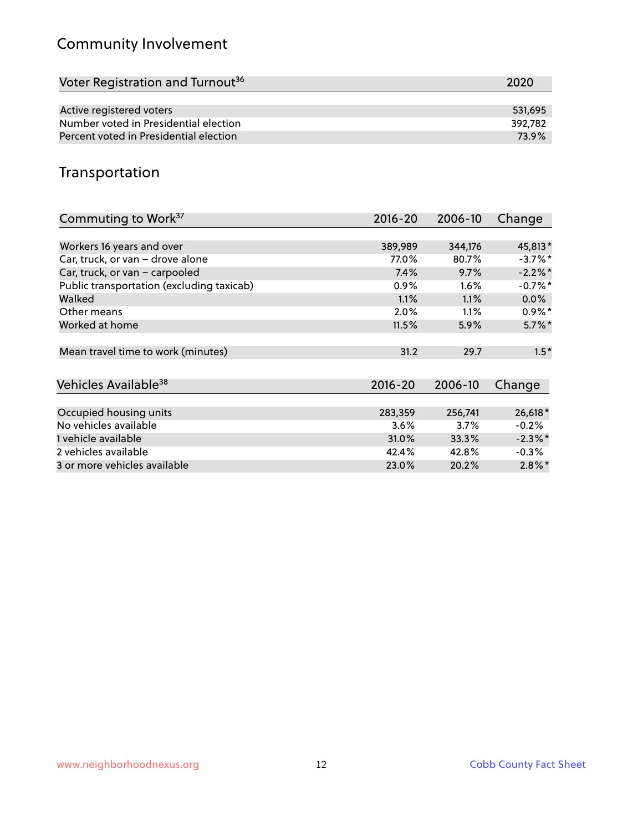# Community Involvement

| Voter Registration and Turnout <sup>36</sup> | 2020    |
|----------------------------------------------|---------|
|                                              |         |
| Active registered voters                     | 531.695 |
| Number voted in Presidential election        | 392.782 |
| Percent voted in Presidential election       | 73.9%   |

#### Transportation

| Commuting to Work <sup>37</sup>           | 2016-20     | 2006-10 | Change     |
|-------------------------------------------|-------------|---------|------------|
|                                           |             |         |            |
| Workers 16 years and over                 | 389,989     | 344,176 | 45,813*    |
| Car, truck, or van - drove alone          | 77.0%       | 80.7%   | $-3.7%$ *  |
| Car, truck, or van - carpooled            | 7.4%        | 9.7%    | $-2.2\%$ * |
| Public transportation (excluding taxicab) | $0.9\%$     | $1.6\%$ | $-0.7\%$ * |
| Walked                                    | 1.1%        | 1.1%    | $0.0\%$    |
| Other means                               | $2.0\%$     | 1.1%    | $0.9\%*$   |
| Worked at home                            | 11.5%       | 5.9%    | $5.7\%$ *  |
|                                           |             |         |            |
| Mean travel time to work (minutes)        | 31.2        | 29.7    | $1.5*$     |
|                                           |             |         |            |
| Vehicles Available <sup>38</sup>          | $2016 - 20$ | 2006-10 | Change     |
|                                           |             |         |            |
| Occupied housing units                    | 283,359     | 256,741 | 26,618*    |
| No vehicles available                     | 3.6%        | $3.7\%$ | $-0.2%$    |
| 1 vehicle available                       | 31.0%       | 33.3%   | $-2.3\%$ * |
| 2 vehicles available                      | 42.4%       | 42.8%   | $-0.3%$    |
| 3 or more vehicles available              | 23.0%       | 20.2%   | $2.8\%*$   |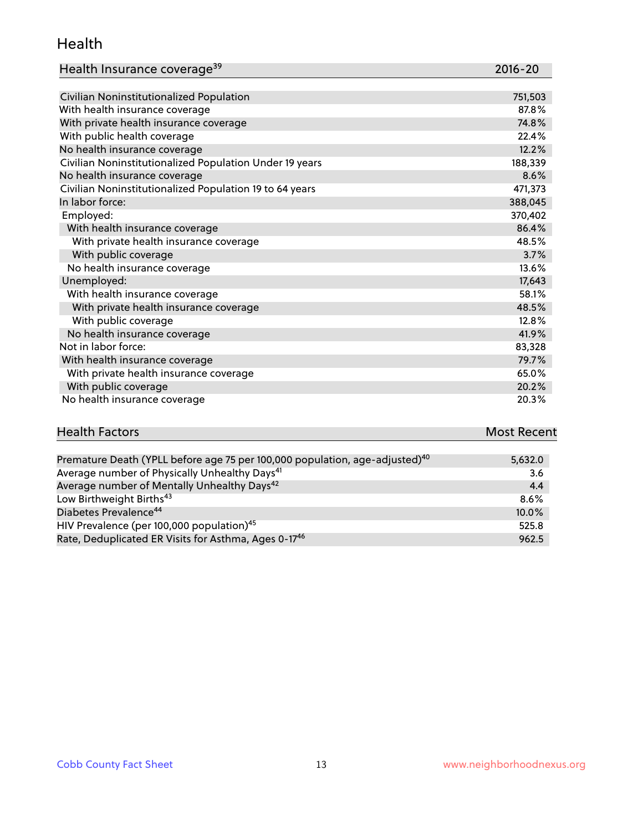#### Health

| Health Insurance coverage <sup>39</sup> | 2016-20 |
|-----------------------------------------|---------|
|-----------------------------------------|---------|

| Civilian Noninstitutionalized Population                | 751,503 |
|---------------------------------------------------------|---------|
| With health insurance coverage                          | 87.8%   |
| With private health insurance coverage                  | 74.8%   |
| With public health coverage                             | 22.4%   |
| No health insurance coverage                            | 12.2%   |
| Civilian Noninstitutionalized Population Under 19 years | 188,339 |
| No health insurance coverage                            | 8.6%    |
| Civilian Noninstitutionalized Population 19 to 64 years | 471,373 |
| In labor force:                                         | 388,045 |
| Employed:                                               | 370,402 |
| With health insurance coverage                          | 86.4%   |
| With private health insurance coverage                  | 48.5%   |
| With public coverage                                    | 3.7%    |
| No health insurance coverage                            | 13.6%   |
| Unemployed:                                             | 17,643  |
| With health insurance coverage                          | 58.1%   |
| With private health insurance coverage                  | 48.5%   |
| With public coverage                                    | 12.8%   |
| No health insurance coverage                            | 41.9%   |
| Not in labor force:                                     | 83,328  |
| With health insurance coverage                          | 79.7%   |
| With private health insurance coverage                  | 65.0%   |
| With public coverage                                    | 20.2%   |
| No health insurance coverage                            | 20.3%   |

# **Health Factors Most Recent** And The Control of the Control of The Control of The Control of The Control of The Control of The Control of The Control of The Control of The Control of The Control of The Control of The Contr

| Premature Death (YPLL before age 75 per 100,000 population, age-adjusted) <sup>40</sup> | 5,632.0  |
|-----------------------------------------------------------------------------------------|----------|
| Average number of Physically Unhealthy Days <sup>41</sup>                               | 3.6      |
| Average number of Mentally Unhealthy Days <sup>42</sup>                                 | 4.4      |
| Low Birthweight Births <sup>43</sup>                                                    | $8.6\%$  |
| Diabetes Prevalence <sup>44</sup>                                                       | $10.0\%$ |
| HIV Prevalence (per 100,000 population) <sup>45</sup>                                   | 525.8    |
| Rate, Deduplicated ER Visits for Asthma, Ages 0-17 <sup>46</sup>                        | 962.5    |